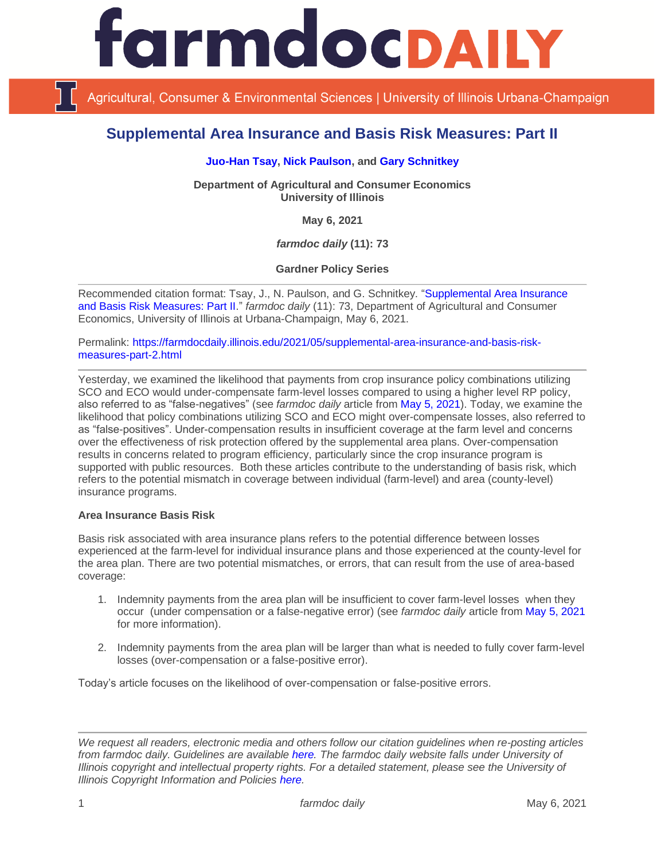

Agricultural, Consumer & Environmental Sciences | University of Illinois Urbana-Champaign

# **Supplemental Area Insurance and Basis Risk Measures: Part II**

## **[Juo-Han Tsay,](https://ace.illinois.edu/directory/jhtsay2) [Nick Paulson,](https://ace.illinois.edu/directory/npaulson) and [Gary Schnitkey](https://ace.illinois.edu/directory/schnitke)**

**Department of Agricultural and Consumer Economics University of Illinois**

**May 6, 2021**

*farmdoc daily* **(11): 73**

**Gardner Policy Series**

Recommended citation format: Tsay, J., N. Paulson, and G. Schnitkey. ["Supplemental Area Insurance](https://farmdocdaily.illinois.edu/2021/05/supplemental-area-insurance-and-basis-risk-measures-part-2.html)  [and Basis Risk Measures: Part II.](https://farmdocdaily.illinois.edu/2021/05/supplemental-area-insurance-and-basis-risk-measures-part-2.html)" *farmdoc daily* (11): 73, Department of Agricultural and Consumer Economics, University of Illinois at Urbana-Champaign, May 6, 2021.

Permalink: [https://farmdocdaily.illinois.edu/2021/05/supplemental-area-insurance-and-basis-risk](https://farmdocdaily.illinois.edu/2021/05/supplemental-area-insurance-and-basis-risk-measures-part-2.html)[measures-part-2.html](https://farmdocdaily.illinois.edu/2021/05/supplemental-area-insurance-and-basis-risk-measures-part-2.html)

Yesterday, we examined the likelihood that payments from crop insurance policy combinations utilizing SCO and ECO would under-compensate farm-level losses compared to using a higher level RP policy, also referred to as "false-negatives" (see *farmdoc daily* article from [May 5, 2021\)](https://farmdocdaily.illinois.edu/2021/05/supplemental-area-insurance-and-basis-risk-measures-part-1.html). Today, we examine the likelihood that policy combinations utilizing SCO and ECO might over-compensate losses, also referred to as "false-positives". Under-compensation results in insufficient coverage at the farm level and concerns over the effectiveness of risk protection offered by the supplemental area plans. Over-compensation results in concerns related to program efficiency, particularly since the crop insurance program is supported with public resources. Both these articles contribute to the understanding of basis risk, which refers to the potential mismatch in coverage between individual (farm-level) and area (county-level) insurance programs.

#### **Area Insurance Basis Risk**

Basis risk associated with area insurance plans refers to the potential difference between losses experienced at the farm-level for individual insurance plans and those experienced at the county-level for the area plan. There are two potential mismatches, or errors, that can result from the use of area-based coverage:

- 1. Indemnity payments from the area plan will be insufficient to cover farm-level losses when they occur (under compensation or a false-negative error) (see *farmdoc daily* article from [May 5, 2021](https://farmdocdaily.illinois.edu/2021/05/supplemental-area-insurance-and-basis-risk-measures-part-1.html) for more information).
- 2. Indemnity payments from the area plan will be larger than what is needed to fully cover farm-level losses (over-compensation or a false-positive error).

Today's article focuses on the likelihood of over-compensation or false-positive errors.

*We request all readers, electronic media and others follow our citation guidelines when re-posting articles from farmdoc daily. Guidelines are available [here.](http://farmdocdaily.illinois.edu/citationguide.html) The farmdoc daily website falls under University of Illinois copyright and intellectual property rights. For a detailed statement, please see the University of Illinois Copyright Information and Policies [here.](http://www.cio.illinois.edu/policies/copyright/)*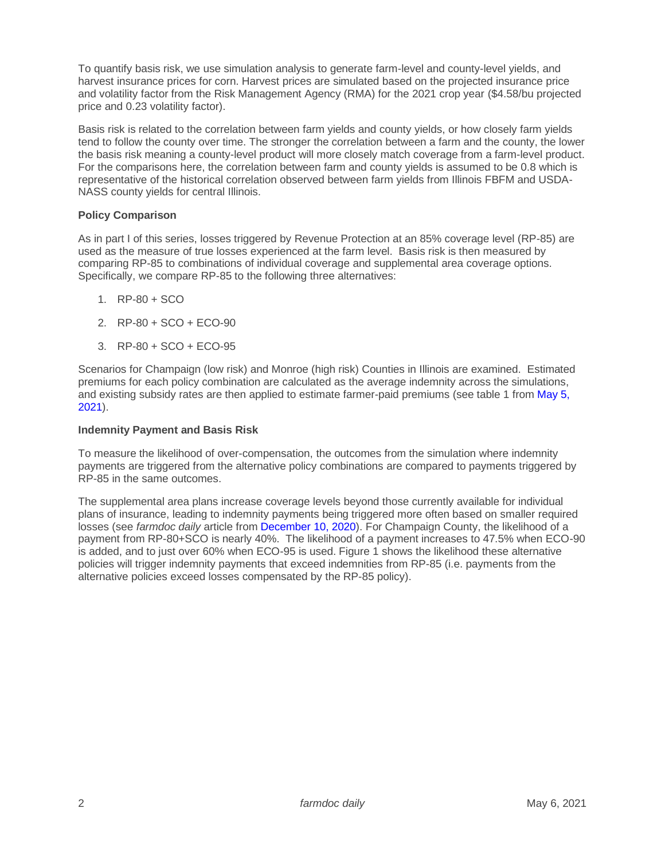To quantify basis risk, we use simulation analysis to generate farm-level and county-level yields, and harvest insurance prices for corn. Harvest prices are simulated based on the projected insurance price and volatility factor from the Risk Management Agency (RMA) for the 2021 crop year (\$4.58/bu projected price and 0.23 volatility factor).

Basis risk is related to the correlation between farm yields and county yields, or how closely farm yields tend to follow the county over time. The stronger the correlation between a farm and the county, the lower the basis risk meaning a county-level product will more closely match coverage from a farm-level product. For the comparisons here, the correlation between farm and county yields is assumed to be 0.8 which is representative of the historical correlation observed between farm yields from Illinois FBFM and USDA-NASS county yields for central Illinois.

# **Policy Comparison**

As in part I of this series, losses triggered by Revenue Protection at an 85% coverage level (RP-85) are used as the measure of true losses experienced at the farm level. Basis risk is then measured by comparing RP-85 to combinations of individual coverage and supplemental area coverage options. Specifically, we compare RP-85 to the following three alternatives:

- 1. RP-80 + SCO
- 2. RP-80 + SCO + ECO-90
- 3. RP-80 + SCO + ECO-95

Scenarios for Champaign (low risk) and Monroe (high risk) Counties in Illinois are examined. Estimated premiums for each policy combination are calculated as the average indemnity across the simulations, and existing subsidy rates are then applied to estimate farmer-paid premiums (see table 1 fro[m May 5,](https://farmdocdaily.illinois.edu/2021/05/supplemental-area-insurance-and-basis-risk-measures-part-1.html)  [2021\)](https://farmdocdaily.illinois.edu/2021/05/supplemental-area-insurance-and-basis-risk-measures-part-1.html).

#### **Indemnity Payment and Basis Risk**

To measure the likelihood of over-compensation, the outcomes from the simulation where indemnity payments are triggered from the alternative policy combinations are compared to payments triggered by RP-85 in the same outcomes.

The supplemental area plans increase coverage levels beyond those currently available for individual plans of insurance, leading to indemnity payments being triggered more often based on smaller required losses (see *farmdoc daily* article from [December 10, 2020\)](https://farmdocdaily.illinois.edu/2020/12/historical-analysis-of-the-frequency-of-triggering-enhanced-coverage-option-eco-payments.html). For Champaign County, the likelihood of a payment from RP-80+SCO is nearly 40%. The likelihood of a payment increases to 47.5% when ECO-90 is added, and to just over 60% when ECO-95 is used. Figure 1 shows the likelihood these alternative policies will trigger indemnity payments that exceed indemnities from RP-85 (i.e. payments from the alternative policies exceed losses compensated by the RP-85 policy).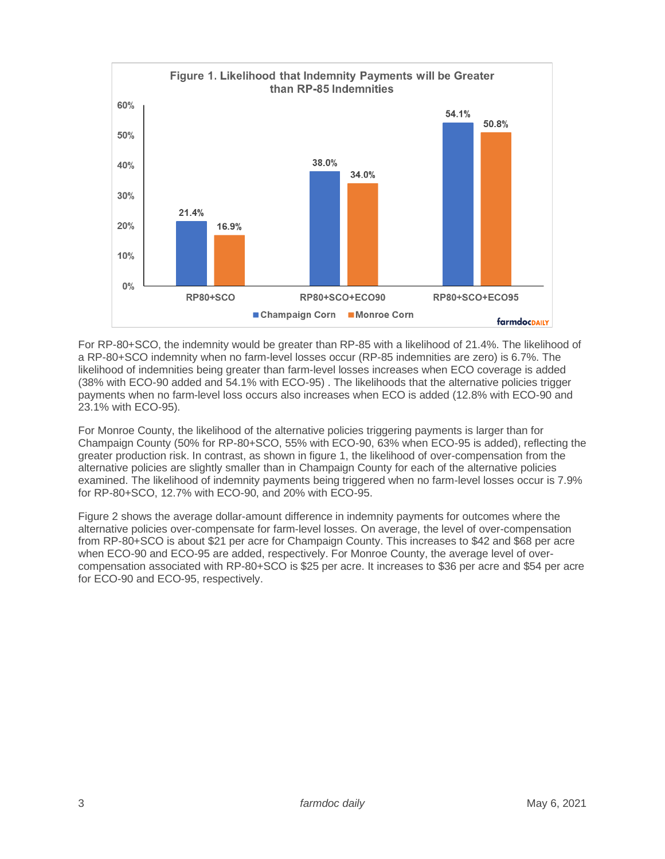

For RP-80+SCO, the indemnity would be greater than RP-85 with a likelihood of 21.4%. The likelihood of a RP-80+SCO indemnity when no farm-level losses occur (RP-85 indemnities are zero) is 6.7%. The likelihood of indemnities being greater than farm-level losses increases when ECO coverage is added (38% with ECO-90 added and 54.1% with ECO-95) . The likelihoods that the alternative policies trigger payments when no farm-level loss occurs also increases when ECO is added (12.8% with ECO-90 and 23.1% with ECO-95).

For Monroe County, the likelihood of the alternative policies triggering payments is larger than for Champaign County (50% for RP-80+SCO, 55% with ECO-90, 63% when ECO-95 is added), reflecting the greater production risk. In contrast, as shown in figure 1, the likelihood of over-compensation from the alternative policies are slightly smaller than in Champaign County for each of the alternative policies examined. The likelihood of indemnity payments being triggered when no farm-level losses occur is 7.9% for RP-80+SCO, 12.7% with ECO-90, and 20% with ECO-95.

Figure 2 shows the average dollar-amount difference in indemnity payments for outcomes where the alternative policies over-compensate for farm-level losses. On average, the level of over-compensation from RP-80+SCO is about \$21 per acre for Champaign County. This increases to \$42 and \$68 per acre when ECO-90 and ECO-95 are added, respectively. For Monroe County, the average level of overcompensation associated with RP-80+SCO is \$25 per acre. It increases to \$36 per acre and \$54 per acre for ECO-90 and ECO-95, respectively.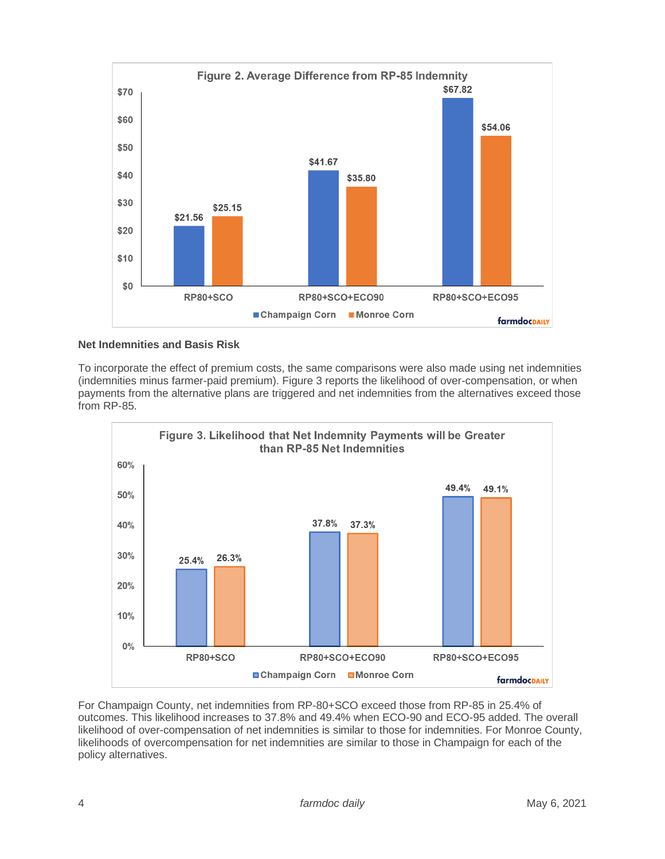

# **Net Indemnities and Basis Risk**

To incorporate the effect of premium costs, the same comparisons were also made using net indemnities (indemnities minus farmer-paid premium). Figure 3 reports the likelihood of over-compensation, or when payments from the alternative plans are triggered and net indemnities from the alternatives exceed those from RP-85.



For Champaign County, net indemnities from RP-80+SCO exceed those from RP-85 in 25.4% of outcomes. This likelihood increases to 37.8% and 49.4% when ECO-90 and ECO-95 added. The overall likelihood of over-compensation of net indemnities is similar to those for indemnities. For Monroe County, likelihoods of overcompensation for net indemnities are similar to those in Champaign for each of the policy alternatives.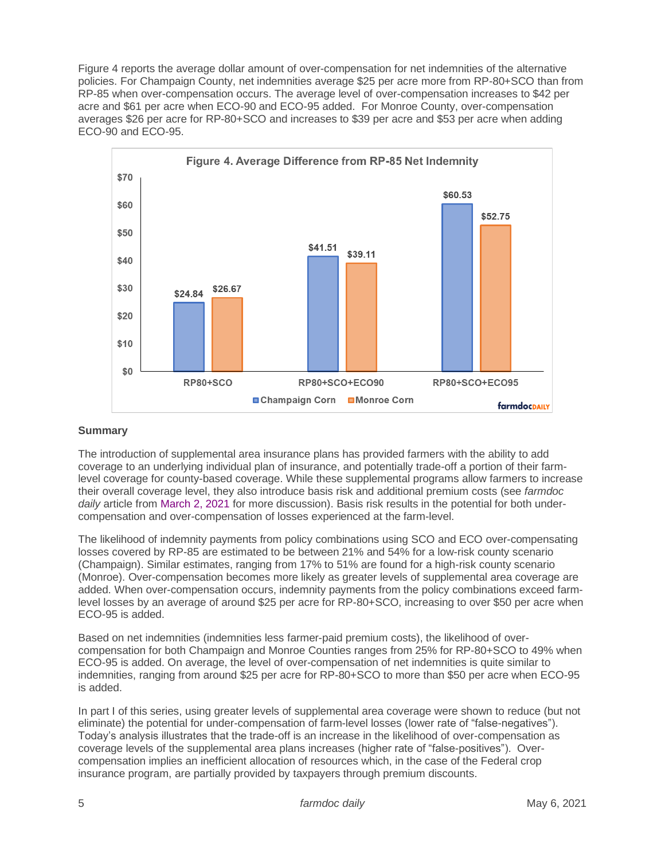Figure 4 reports the average dollar amount of over-compensation for net indemnities of the alternative policies. For Champaign County, net indemnities average \$25 per acre more from RP-80+SCO than from RP-85 when over-compensation occurs. The average level of over-compensation increases to \$42 per acre and \$61 per acre when ECO-90 and ECO-95 added. For Monroe County, over-compensation averages \$26 per acre for RP-80+SCO and increases to \$39 per acre and \$53 per acre when adding ECO-90 and ECO-95.



# **Summary**

The introduction of supplemental area insurance plans has provided farmers with the ability to add coverage to an underlying individual plan of insurance, and potentially trade-off a portion of their farmlevel coverage for county-based coverage. While these supplemental programs allow farmers to increase their overall coverage level, they also introduce basis risk and additional premium costs (see *farmdoc daily* article from [March 2, 2021](https://farmdocdaily.illinois.edu/2021/03/rp-eco-and-sco-tradeoffs.html) for more discussion). Basis risk results in the potential for both undercompensation and over-compensation of losses experienced at the farm-level.

The likelihood of indemnity payments from policy combinations using SCO and ECO over-compensating losses covered by RP-85 are estimated to be between 21% and 54% for a low-risk county scenario (Champaign). Similar estimates, ranging from 17% to 51% are found for a high-risk county scenario (Monroe). Over-compensation becomes more likely as greater levels of supplemental area coverage are added. When over-compensation occurs, indemnity payments from the policy combinations exceed farmlevel losses by an average of around \$25 per acre for RP-80+SCO, increasing to over \$50 per acre when ECO-95 is added.

Based on net indemnities (indemnities less farmer-paid premium costs), the likelihood of overcompensation for both Champaign and Monroe Counties ranges from 25% for RP-80+SCO to 49% when ECO-95 is added. On average, the level of over-compensation of net indemnities is quite similar to indemnities, ranging from around \$25 per acre for RP-80+SCO to more than \$50 per acre when ECO-95 is added.

In part I of this series, using greater levels of supplemental area coverage were shown to reduce (but not eliminate) the potential for under-compensation of farm-level losses (lower rate of "false-negatives"). Today's analysis illustrates that the trade-off is an increase in the likelihood of over-compensation as coverage levels of the supplemental area plans increases (higher rate of "false-positives"). Overcompensation implies an inefficient allocation of resources which, in the case of the Federal crop insurance program, are partially provided by taxpayers through premium discounts.